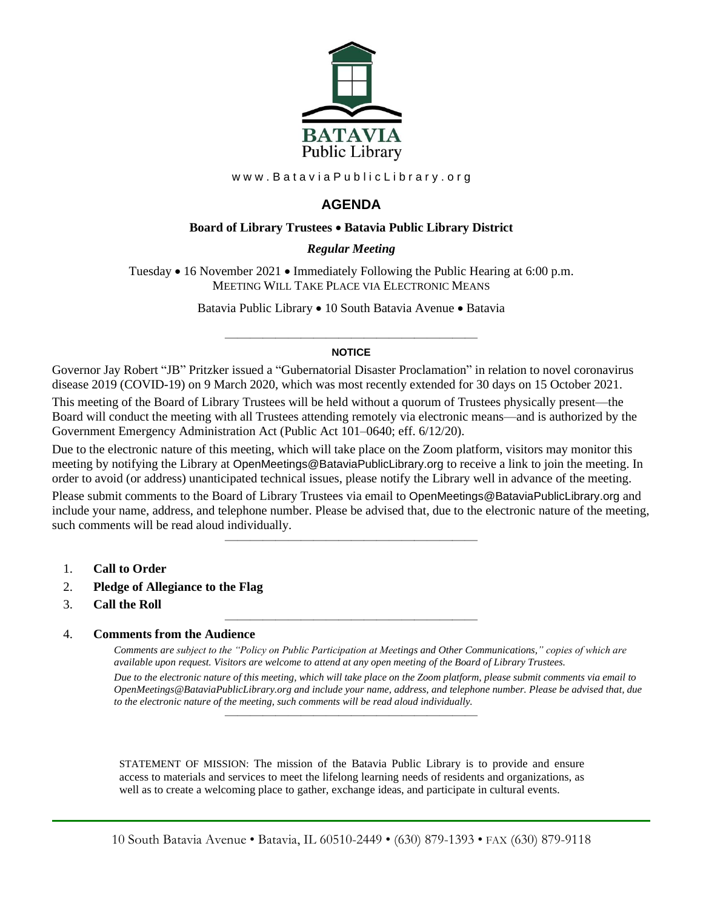

www.BataviaPublicLibrary.org

# **AGENDA**

### **Board of Library Trustees** • **Batavia Public Library District**

### *0BRegular Meeting*

Tuesday • 16 November 2021 • Immediately Following the Public Hearing at 6:00 p.m. MEETING WILL TAKE PLACE VIA ELECTRONIC MEANS

Batavia Public Library • 10 South Batavia Avenue • Batavia

### ———————————————————— **NOTICE**

Governor Jay Robert "JB" Pritzker issued a "Gubernatorial Disaster Proclamation" in relation to novel coronavirus disease 2019 (COVID-19) on 9 March 2020, which was most recently extended for 30 days on 15 October 2021.

This meeting of the Board of Library Trustees will be held without a quorum of Trustees physically present—the Board will conduct the meeting with all Trustees attending remotely via electronic means—and is authorized by the Government Emergency Administration Act (Public Act 101–0640; eff. 6/12/20).

Due to the electronic nature of this meeting, which will take place on the Zoom platform, visitors may monitor this meeting by notifying the Library at OpenMeetings@BataviaPublicLibrary.org to receive a link to join the meeting. In order to avoid (or address) unanticipated technical issues, please notify the Library well in advance of the meeting.

Please submit comments to the Board of Library Trustees via email to OpenMeetings@BataviaPublicLibrary.org and include your name, address, and telephone number. Please be advised that, due to the electronic nature of the meeting, such comments will be read aloud individually.

————————————————————

————————————————————

- 1. **Call to Order**
- 2. **Pledge of Allegiance to the Flag**
- 3. **Call the Roll**

#### 4. **Comments from the Audience**

*Comments are subject to the "Policy on Public Participation at Meetings and Other Communications," copies of which are available upon request. Visitors are welcome to attend at any open meeting of the Board of Library Trustees. Due to the electronic nature of this meeting, which will take place on the Zoom platform, please submit comments via email to OpenMeetings@BataviaPublicLibrary.org and include your name, address, and telephone number. Please be advised that, due to the electronic nature of the meeting, such comments will be read aloud individually.*

STATEMENT OF MISSION: The mission of the Batavia Public Library is to provide and ensure access to materials and services to meet the lifelong learning needs of residents and organizations, as well as to create a welcoming place to gather, exchange ideas, and participate in cultural events.

————————————————————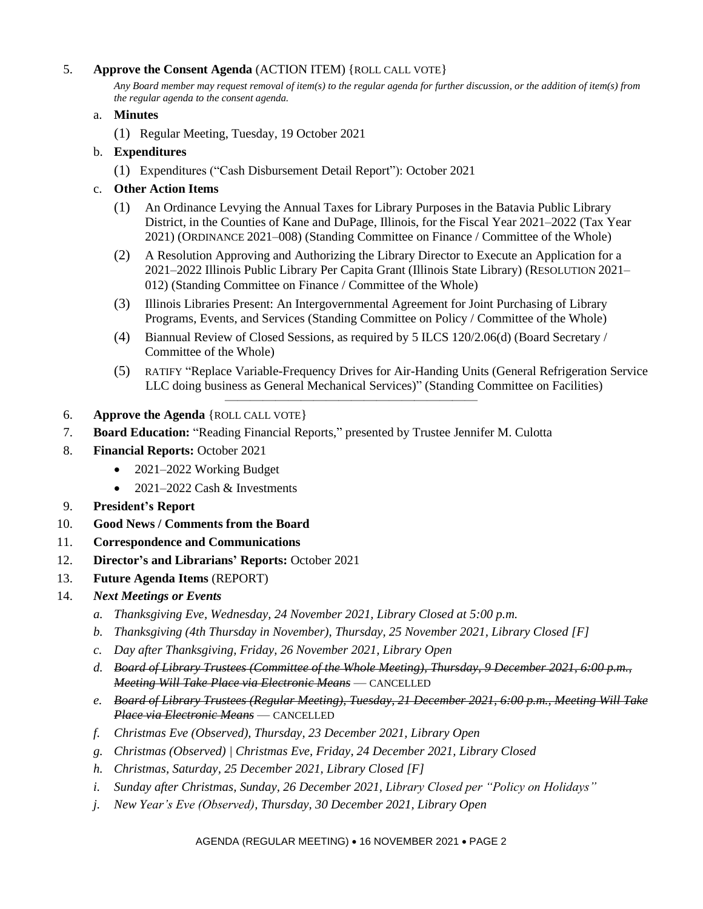## 5. **Approve the Consent Agenda** (ACTION ITEM) {ROLL CALL VOTE}

*Any Board member may request removal of item(s) to the regular agenda for further discussion, or the addition of item(s) from the regular agenda to the consent agenda.*

### a. **Minutes**

(1) Regular Meeting, Tuesday, 19 October 2021

## b. **Expenditures**

(1) Expenditures ("Cash Disbursement Detail Report"): October 2021

## c. **Other Action Items**

- (1) An Ordinance Levying the Annual Taxes for Library Purposes in the Batavia Public Library District, in the Counties of Kane and DuPage, Illinois, for the Fiscal Year 2021–2022 (Tax Year 2021) (ORDINANCE 2021–008) (Standing Committee on Finance / Committee of the Whole)
- (2) A Resolution Approving and Authorizing the Library Director to Execute an Application for a 2021–2022 Illinois Public Library Per Capita Grant (Illinois State Library) (RESOLUTION 2021– 012) (Standing Committee on Finance / Committee of the Whole)
- (3) Illinois Libraries Present: An Intergovernmental Agreement for Joint Purchasing of Library Programs, Events, and Services (Standing Committee on Policy / Committee of the Whole)
- (4) Biannual Review of Closed Sessions, as required by 5 ILCS 120/2.06(d) (Board Secretary / Committee of the Whole)

————————————————————

- (5) RATIFY "Replace Variable-Frequency Drives for Air-Handing Units (General Refrigeration Service LLC doing business as General Mechanical Services)" (Standing Committee on Facilities)
- 6. **Approve the Agenda** {ROLL CALL VOTE}
- 7. **Board Education:** "Reading Financial Reports," presented by Trustee Jennifer M. Culotta
- 8. **Financial Reports:** October 2021
	- 2021–2022 Working Budget
	- 2021–2022 Cash & Investments
- 9. **President's Report**
- 10. **Good News / Comments from the Board**
- 11. **Correspondence and Communications**
- 12. **Director's and Librarians' Reports:** October 2021
- 13. **Future Agenda Items** (REPORT)
- 14. *Next Meetings or Events*
	- *a. Thanksgiving Eve, Wednesday, 24 November 2021, Library Closed at 5:00 p.m.*
	- *b. Thanksgiving (4th Thursday in November), Thursday, 25 November 2021, Library Closed [F]*
	- *c. Day after Thanksgiving, Friday, 26 November 2021, Library Open*
	- *d. Board of Library Trustees (Committee of the Whole Meeting), Thursday, 9 December 2021, 6:00 p.m., Meeting Will Take Place via Electronic Means* — CANCELLED
	- *e. Board of Library Trustees (Regular Meeting), Tuesday, 21 December 2021, 6:00 p.m., Meeting Will Take Place via Electronic Means* — CANCELLED
	- *f. Christmas Eve (Observed), Thursday, 23 December 2021, Library Open*
	- *g. Christmas (Observed) | Christmas Eve, Friday, 24 December 2021, Library Closed*
	- *h. Christmas, Saturday, 25 December 2021, Library Closed [F]*
	- *i. Sunday after Christmas, Sunday, 26 December 2021, Library Closed per "Policy on Holidays"*
	- *j. New Year's Eve (Observed), Thursday, 30 December 2021, Library Open*

#### AGENDA (REGULAR MEETING) • 16 NOVEMBER 2021 • PAGE 2